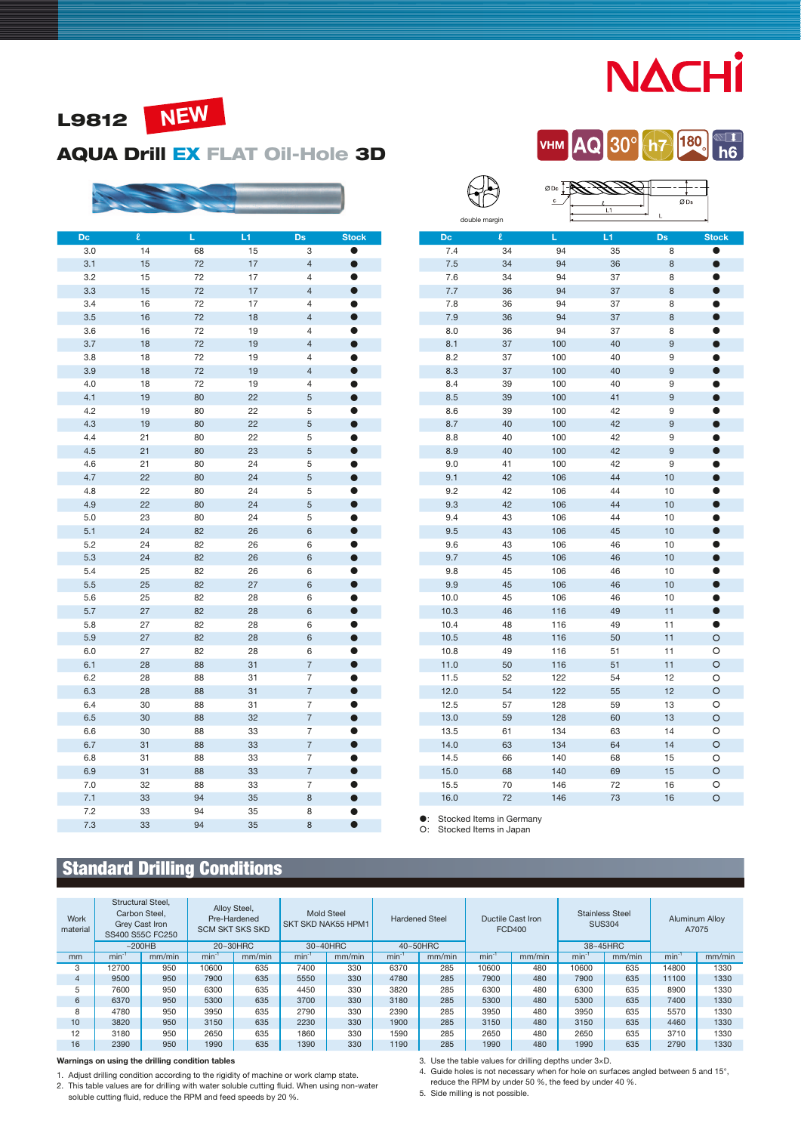# **NACHI**





### AQUA Drill EX FLAT Oil-Hole 3D



| Dc  | $\overline{\mathbf{c}}$ | Ĺ  | L1 | Ds             | <b>Stock</b> |
|-----|-------------------------|----|----|----------------|--------------|
| 3.0 | 14                      | 68 | 15 | 3              | Α            |
| 3.1 | 15                      | 72 | 17 | $\overline{4}$ | 0            |
| 3.2 | 15                      | 72 | 17 | 4              |              |
| 3.3 | 15                      | 72 | 17 | $\overline{4}$ | $\bullet$    |
| 3.4 | 16                      | 72 | 17 | 4              | O            |
| 3.5 | 16                      | 72 | 18 | $\overline{4}$ | $\bullet$    |
| 3.6 | 16                      | 72 | 19 | $\overline{4}$ | $\bullet$    |
| 3.7 | 18                      | 72 | 19 | $\overline{4}$ | $\bullet$    |
| 3.8 | 18                      | 72 | 19 | 4              |              |
| 3.9 | 18                      | 72 | 19 | $\overline{4}$ | $\bullet$    |
| 4.0 | 18                      | 72 | 19 | 4              | O            |
| 4.1 | 19                      | 80 | 22 | 5              | $\bullet$    |
| 4.2 | 19                      | 80 | 22 | 5              | $\bullet$    |
| 4.3 | 19                      | 80 | 22 | 5              | $\bullet$    |
| 4.4 | 21                      | 80 | 22 | 5              |              |
| 4.5 | 21                      | 80 | 23 | 5              | $\bullet$    |
| 4.6 | 21                      | 80 | 24 | 5              | O            |
| 4.7 | 22                      | 80 | 24 | 5              | $\bullet$    |
| 4.8 | 22                      | 80 | 24 | 5              | ð            |
| 4.9 | 22                      | 80 | 24 | 5              | $\bullet$    |
| 5.0 | 23                      | 80 | 24 | 5              | 0            |
| 5.1 | 24                      | 82 | 26 | 6              | $\bullet$    |
| 5.2 | 24                      | 82 | 26 | 6              | O            |
| 5.3 | 24                      | 82 | 26 | 6              | $\bullet$    |
| 5.4 | 25                      | 82 | 26 | 6              | O            |
| 5.5 | 25                      | 82 | 27 | 6              | $\bullet$    |
| 5.6 | 25                      | 82 | 28 | 6              | Ω            |
| 5.7 | 27                      | 82 | 28 | 6              | $\bullet$    |
| 5.8 | 27                      | 82 | 28 | 6              | O            |
| 5.9 | 27                      | 82 | 28 | 6              | $\bullet$    |
| 6.0 | 27                      | 82 | 28 | 6              | O            |
| 6.1 | 28                      | 88 | 31 | $\overline{7}$ | $\bullet$    |
| 6.2 | 28                      | 88 | 31 | 7              | A            |
| 6.3 | 28                      | 88 | 31 | $\overline{7}$ | $\bullet$    |
| 6.4 | 30                      | 88 | 31 | 7              | O            |
| 6.5 | 30                      | 88 | 32 | $\overline{7}$ | $\bullet$    |
| 6.6 | 30                      | 88 | 33 | 7              | ●            |
| 6.7 | 31                      | 88 | 33 | $\overline{7}$ | $\bullet$    |
| 6.8 | 31                      | 88 | 33 | 7              |              |
| 6.9 | 31                      | 88 | 33 | $\overline{7}$ | $\bullet$    |
| 7.0 | 32                      | 88 | 33 | 7              |              |
| 7.1 | 33                      | 94 | 35 | 8              | $\bullet$    |
| 7.2 | 33                      | 94 | 35 | 8              | D            |
| 7.3 | 33                      | 94 | 35 | 8              | O            |

|      |               |     | L1<br>L |    |              |  |  |  |
|------|---------------|-----|---------|----|--------------|--|--|--|
|      | double margin |     |         |    |              |  |  |  |
| Dc   | $\ell$        | L   | L1      | Ds | <b>Stock</b> |  |  |  |
| 7.4  | 34            | 94  | 35      | 8  | $\bullet$    |  |  |  |
| 7.5  | 34            | 94  | 36      | 8  | $\bullet$    |  |  |  |
| 7.6  | 34            | 94  | 37      | 8  | 0            |  |  |  |
| 7.7  | 36            | 94  | 37      | 8  | $\bullet$    |  |  |  |
| 7.8  | 36            | 94  | 37      | 8  | Ð            |  |  |  |
| 7.9  | 36            | 94  | 37      | 8  | $\bullet$    |  |  |  |
| 8.0  | 36            | 94  | 37      | 8  | $\bullet$    |  |  |  |
| 8.1  | 37            | 100 | 40      | 9  | $\bullet$    |  |  |  |
| 8.2  | 37            | 100 | 40      | 9  |              |  |  |  |
| 8.3  | 37            | 100 | 40      | 9  | $\bullet$    |  |  |  |
| 8.4  | 39            | 100 | 40      | 9  |              |  |  |  |
| 8.5  | 39            | 100 | 41      | 9  | n            |  |  |  |
| 8.6  | 39            | 100 | 42      | 9  |              |  |  |  |
| 8.7  | 40            | 100 | 42      | 9  | $\bullet$    |  |  |  |
| 8.8  | 40            | 100 | 42      | 9  | ●            |  |  |  |
| 8.9  | 40            | 100 | 42      | 9  | $\bullet$    |  |  |  |
| 9.0  | 41            | 100 | 42      | 9  |              |  |  |  |
| 9.1  | 42            | 106 | 44      | 10 | $\bullet$    |  |  |  |
| 9.2  | 42            | 106 | 44      | 10 | $\bullet$    |  |  |  |
| 9.3  | 42            | 106 | 44      | 10 | $\bullet$    |  |  |  |
| 9.4  | 43            | 106 | 44      | 10 | ●            |  |  |  |
| 9.5  | 43            | 106 | 45      | 10 | $\bullet$    |  |  |  |
| 9.6  | 43            | 106 | 46      | 10 | D            |  |  |  |
| 9.7  | 45            | 106 | 46      | 10 | $\bullet$    |  |  |  |
| 9.8  | 45            | 106 | 46      | 10 | $\bullet$    |  |  |  |
| 9.9  | 45            | 106 | 46      | 10 | $\bullet$    |  |  |  |
| 10.0 | 45            | 106 | 46      | 10 | $\bullet$    |  |  |  |
| 10.3 | 46            | 116 | 49      | 11 | $\bullet$    |  |  |  |
| 10.4 | 48            | 116 | 49      | 11 | $\bullet$    |  |  |  |
| 10.5 | 48            | 116 | 50      | 11 | O            |  |  |  |
| 10.8 | 49            | 116 | 51      | 11 | O            |  |  |  |
| 11.0 | 50            | 116 | 51      | 11 | $\circ$      |  |  |  |
| 11.5 | 52            | 122 | 54      | 12 | O            |  |  |  |
| 12.0 | 54            | 122 | 55      | 12 | O            |  |  |  |
| 12.5 | 57            | 128 | 59      | 13 | O            |  |  |  |
| 13.0 | 59            | 128 | 60      | 13 | O            |  |  |  |
| 13.5 | 61            | 134 | 63      | 14 | O            |  |  |  |
| 14.0 | 63            | 134 | 64      | 14 | O            |  |  |  |
| 14.5 | 66            | 140 | 68      | 15 | O            |  |  |  |
| 15.0 | 68            | 140 | 69      | 15 | O            |  |  |  |
| 15.5 | 70            | 146 | 72      | 16 | O            |  |  |  |
| 16.0 | 72            | 146 | 73      | 16 | $\circ$      |  |  |  |

0Dc T-

: Stocked Items in Germany : Stocked Items in Japan

 $\bigoplus$ 

# Standard Drilling Conditions

| Work<br>material | Structural Steel.<br>Carbon Steel.<br>Grey Cast Iron<br>SS400 S55C FC250 |        | Alloy Steel,<br><b>Mold Steel</b><br>Pre-Hardened<br><b>Hardened Steel</b><br><b>SKT SKD NAK55 HPM1</b><br><b>SCM SKT SKS SKD</b> |          |      | Ductile Cast Iron<br>FCD400 |            | <b>Stainless Steel</b><br><b>SUS304</b> |           | Aluminum Alloy<br>A7075 |          |        |            |        |
|------------------|--------------------------------------------------------------------------|--------|-----------------------------------------------------------------------------------------------------------------------------------|----------|------|-----------------------------|------------|-----------------------------------------|-----------|-------------------------|----------|--------|------------|--------|
|                  |                                                                          | ~200HB |                                                                                                                                   | 20~30HRC |      | 30~40HRC<br>40~50HRC        |            |                                         |           |                         | 38~45HRC |        |            |        |
| mm               | $min^{-1}$                                                               | mm/min | $min-1$                                                                                                                           | mm/min   | min  | mm/min                      | $min^{-1}$ | mm/min                                  | $min^{-}$ | mm/min                  | $min-1$  | mm/min | $min^{-1}$ | mm/min |
| 3                | 12700                                                                    | 950    | 10600                                                                                                                             | 635      | 7400 | 330                         | 6370       | 285                                     | 10600     | 480                     | 10600    | 635    | 14800      | 1330   |
| $\overline{4}$   | 9500                                                                     | 950    | 7900                                                                                                                              | 635      | 5550 | 330                         | 4780       | 285                                     | 7900      | 480                     | 7900     | 635    | 11100      | 1330   |
| 5                | 7600                                                                     | 950    | 6300                                                                                                                              | 635      | 4450 | 330                         | 3820       | 285                                     | 6300      | 480                     | 6300     | 635    | 8900       | 1330   |
| 6                | 6370                                                                     | 950    | 5300                                                                                                                              | 635      | 3700 | 330                         | 3180       | 285                                     | 5300      | 480                     | 5300     | 635    | 7400       | 1330   |
| 8                | 4780                                                                     | 950    | 3950                                                                                                                              | 635      | 2790 | 330                         | 2390       | 285                                     | 3950      | 480                     | 3950     | 635    | 5570       | 1330   |
| 10               | 3820                                                                     | 950    | 3150                                                                                                                              | 635      | 2230 | 330                         | 1900       | 285                                     | 3150      | 480                     | 3150     | 635    | 4460       | 1330   |
| 12               | 3180                                                                     | 950    | 2650                                                                                                                              | 635      | 1860 | 330                         | 1590       | 285                                     | 2650      | 480                     | 2650     | 635    | 3710       | 1330   |
| 16               | 2390                                                                     | 950    | 1990                                                                                                                              | 635      | 1390 | 330                         | 1190       | 285                                     | 1990      | 480                     | 1990     | 635    | 2790       | 1330   |

Warnings on using the drilling condition tables

1. Adjust drilling condition according to the rigidity of machine or work clamp state.<br>2. This table values are for drilling with water soluble cutting fluid. When using non-water<br>120 Soluble cutting fluid, reduce the RPM

3. Use the table values for drilling depths under 3×D.

4. Guide holes is not necessary when for hole on surfaces angled between 5 and 15°,

reduce the RPM by under 50 %, the feed by under 40 %. 5. Side milling is not possible.